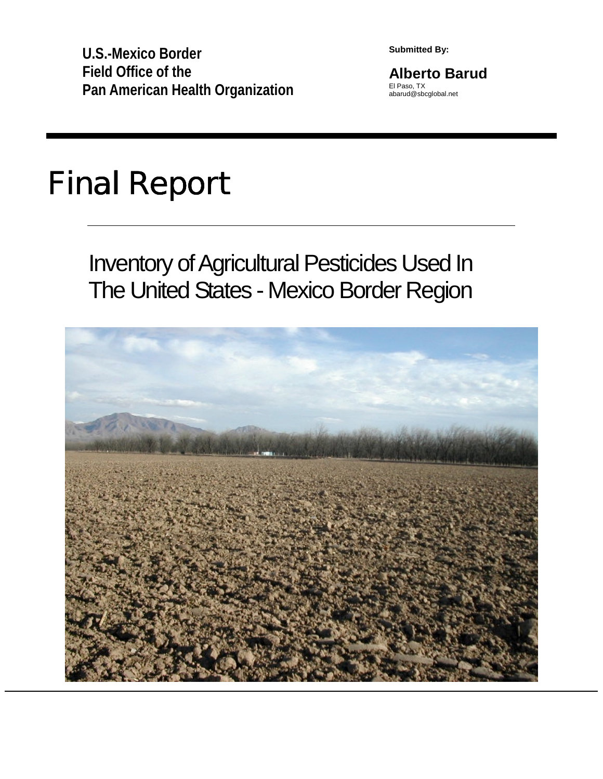**U.S.-Mexico Border Field Office of the Pan American Health Organization** **Submitted By:** 

**Alberto Barud**  El Paso, TX abarud@sbcglobal.net

# **Final Report**

## Inventory of Agricultural Pesticides Used In The United States - Mexico Border Region

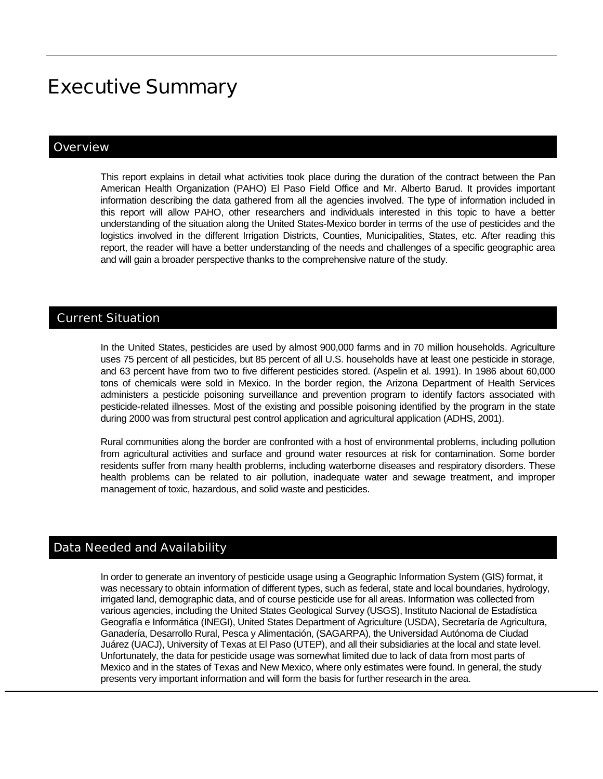## Executive Summary

#### **Overview**

This report explains in detail what activities took place during the duration of the contract between the Pan American Health Organization (PAHO) El Paso Field Office and Mr. Alberto Barud. It provides important information describing the data gathered from all the agencies involved. The type of information included in this report will allow PAHO, other researchers and individuals interested in this topic to have a better understanding of the situation along the United States-Mexico border in terms of the use of pesticides and the logistics involved in the different Irrigation Districts, Counties, Municipalities, States, etc. After reading this report, the reader will have a better understanding of the needs and challenges of a specific geographic area and will gain a broader perspective thanks to the comprehensive nature of the study.

### Current Situation

In the United States, pesticides are used by almost 900,000 farms and in 70 million households. Agriculture uses 75 percent of all pesticides, but 85 percent of all U.S. households have at least one pesticide in storage, and 63 percent have from two to five different pesticides stored. (Aspelin et al. 1991). In 1986 about 60,000 tons of chemicals were sold in Mexico. In the border region, the Arizona Department of Health Services administers a pesticide poisoning surveillance and prevention program to identify factors associated with pesticide-related illnesses. Most of the existing and possible poisoning identified by the program in the state during 2000 was from structural pest control application and agricultural application (ADHS, 2001).

Rural communities along the border are confronted with a host of environmental problems, including pollution from agricultural activities and surface and ground water resources at risk for contamination. Some border residents suffer from many health problems, including waterborne diseases and respiratory disorders. These health problems can be related to air pollution, inadequate water and sewage treatment, and improper management of toxic, hazardous, and solid waste and pesticides.

### Data Needed and Availability

In order to generate an inventory of pesticide usage using a Geographic Information System (GIS) format, it was necessary to obtain information of different types, such as federal, state and local boundaries, hydrology, irrigated land, demographic data, and of course pesticide use for all areas. Information was collected from various agencies, including the United States Geological Survey (USGS), Instituto Nacional de Estadística Geografía e Informática (INEGI), United States Department of Agriculture (USDA), Secretaría de Agricultura, Ganadería, Desarrollo Rural, Pesca y Alimentación, (SAGARPA), the Universidad Autónoma de Ciudad Juárez (UACJ), University of Texas at El Paso (UTEP), and all their subsidiaries at the local and state level. Unfortunately, the data for pesticide usage was somewhat limited due to lack of data from most parts of Mexico and in the states of Texas and New Mexico, where only estimates were found. In general, the study presents very important information and will form the basis for further research in the area.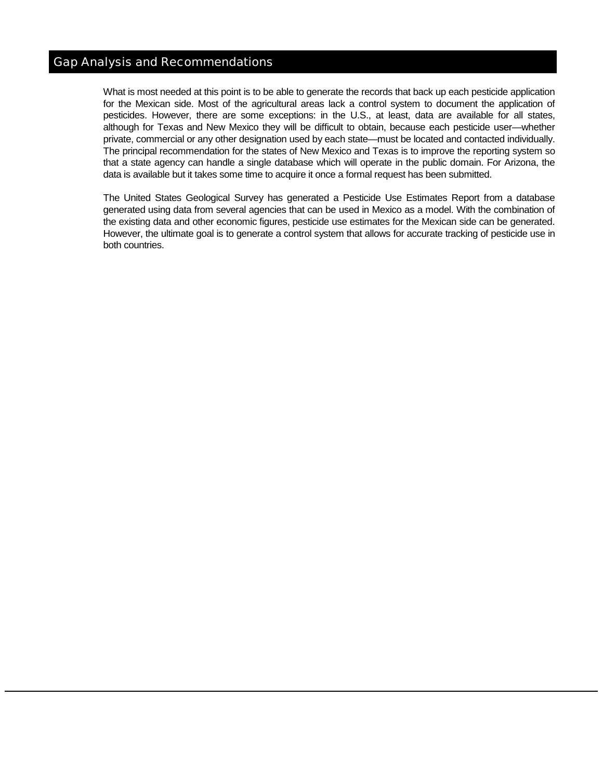#### Gap Analysis and Recommendations

What is most needed at this point is to be able to generate the records that back up each pesticide application for the Mexican side. Most of the agricultural areas lack a control system to document the application of pesticides. However, there are some exceptions: in the U.S., at least, data are available for all states, although for Texas and New Mexico they will be difficult to obtain, because each pesticide user—whether private, commercial or any other designation used by each state—must be located and contacted individually. The principal recommendation for the states of New Mexico and Texas is to improve the reporting system so that a state agency can handle a single database which will operate in the public domain. For Arizona, the data is available but it takes some time to acquire it once a formal request has been submitted.

The United States Geological Survey has generated a Pesticide Use Estimates Report from a database generated using data from several agencies that can be used in Mexico as a model. With the combination of the existing data and other economic figures, pesticide use estimates for the Mexican side can be generated. However, the ultimate goal is to generate a control system that allows for accurate tracking of pesticide use in both countries.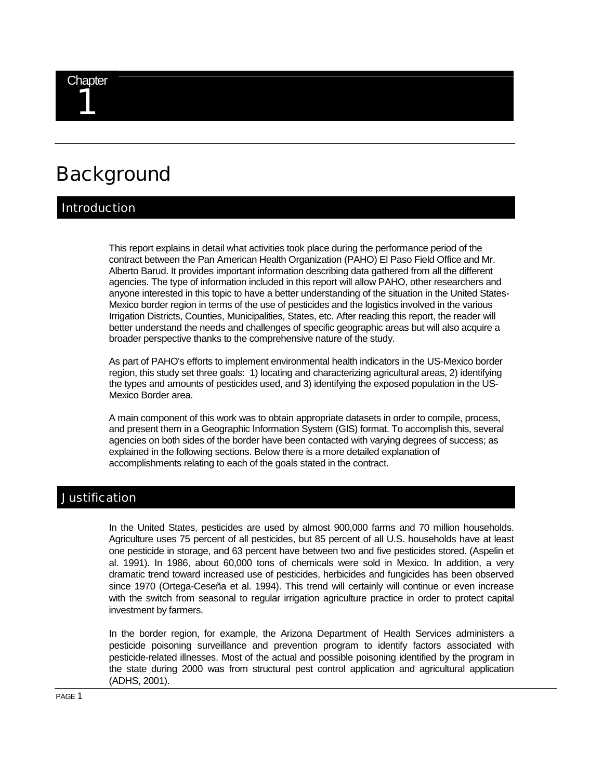## **Background**

### Introduction

This report explains in detail what activities took place during the performance period of the contract between the Pan American Health Organization (PAHO) El Paso Field Office and Mr. Alberto Barud. It provides important information describing data gathered from all the different agencies. The type of information included in this report will allow PAHO, other researchers and anyone interested in this topic to have a better understanding of the situation in the United States-Mexico border region in terms of the use of pesticides and the logistics involved in the various Irrigation Districts, Counties, Municipalities, States, etc. After reading this report, the reader will better understand the needs and challenges of specific geographic areas but will also acquire a broader perspective thanks to the comprehensive nature of the study.

As part of PAHO's efforts to implement environmental health indicators in the US-Mexico border region, this study set three goals: 1) locating and characterizing agricultural areas, 2) identifying the types and amounts of pesticides used, and 3) identifying the exposed population in the US-Mexico Border area.

A main component of this work was to obtain appropriate datasets in order to compile, process, and present them in a Geographic Information System (GIS) format. To accomplish this, several agencies on both sides of the border have been contacted with varying degrees of success; as explained in the following sections. Below there is a more detailed explanation of accomplishments relating to each of the goals stated in the contract.

#### Justification

In the United States, pesticides are used by almost 900,000 farms and 70 million households. Agriculture uses 75 percent of all pesticides, but 85 percent of all U.S. households have at least one pesticide in storage, and 63 percent have between two and five pesticides stored. (Aspelin et al. 1991). In 1986, about 60,000 tons of chemicals were sold in Mexico. In addition, a very dramatic trend toward increased use of pesticides, herbicides and fungicides has been observed since 1970 (Ortega-Ceseña et al. 1994). This trend will certainly will continue or even increase with the switch from seasonal to regular irrigation agriculture practice in order to protect capital investment by farmers.

In the border region, for example, the Arizona Department of Health Services administers a pesticide poisoning surveillance and prevention program to identify factors associated with pesticide-related illnesses. Most of the actual and possible poisoning identified by the program in the state during 2000 was from structural pest control application and agricultural application (ADHS, 2001).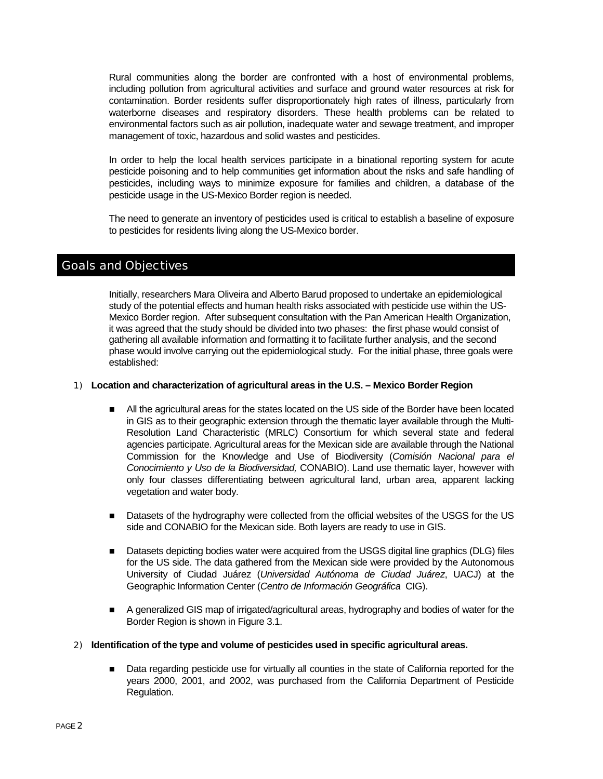Rural communities along the border are confronted with a host of environmental problems, including pollution from agricultural activities and surface and ground water resources at risk for contamination. Border residents suffer disproportionately high rates of illness, particularly from waterborne diseases and respiratory disorders. These health problems can be related to environmental factors such as air pollution, inadequate water and sewage treatment, and improper management of toxic, hazardous and solid wastes and pesticides.

In order to help the local health services participate in a binational reporting system for acute pesticide poisoning and to help communities get information about the risks and safe handling of pesticides, including ways to minimize exposure for families and children, a database of the pesticide usage in the US-Mexico Border region is needed.

The need to generate an inventory of pesticides used is critical to establish a baseline of exposure to pesticides for residents living along the US-Mexico border.

#### Goals and Objectives

Initially, researchers Mara Oliveira and Alberto Barud proposed to undertake an epidemiological study of the potential effects and human health risks associated with pesticide use within the US-Mexico Border region. After subsequent consultation with the Pan American Health Organization, it was agreed that the study should be divided into two phases: the first phase would consist of gathering all available information and formatting it to facilitate further analysis, and the second phase would involve carrying out the epidemiological study. For the initial phase, three goals were established:

#### 1) **Location and characterization of agricultural areas in the U.S. – Mexico Border Region**

- All the agricultural areas for the states located on the US side of the Border have been located in GIS as to their geographic extension through the thematic layer available through the Multi-Resolution Land Characteristic (MRLC) Consortium for which several state and federal agencies participate. Agricultural areas for the Mexican side are available through the National Commission for the Knowledge and Use of Biodiversity (*Comisión Nacional para el Conocimiento y Uso de la Biodiversidad,* CONABIO). Land use thematic layer, however with only four classes differentiating between agricultural land, urban area, apparent lacking vegetation and water body.
- **Datasets of the hydrography were collected from the official websites of the USGS for the US** side and CONABIO for the Mexican side. Both layers are ready to use in GIS.
- Datasets depicting bodies water were acquired from the USGS digital line graphics (DLG) files for the US side. The data gathered from the Mexican side were provided by the Autonomous University of Ciudad Juárez (*Universidad Autónoma de Ciudad Juárez*, UACJ) at the Geographic Information Center (*Centro de Información Geográfica* CIG).
- A generalized GIS map of irrigated/agricultural areas, hydrography and bodies of water for the Border Region is shown in Figure 3.1.
- 2) **Identification of the type and volume of pesticides used in specific agricultural areas.** 
	- **Data regarding pesticide use for virtually all counties in the state of California reported for the** years 2000, 2001, and 2002, was purchased from the California Department of Pesticide Regulation.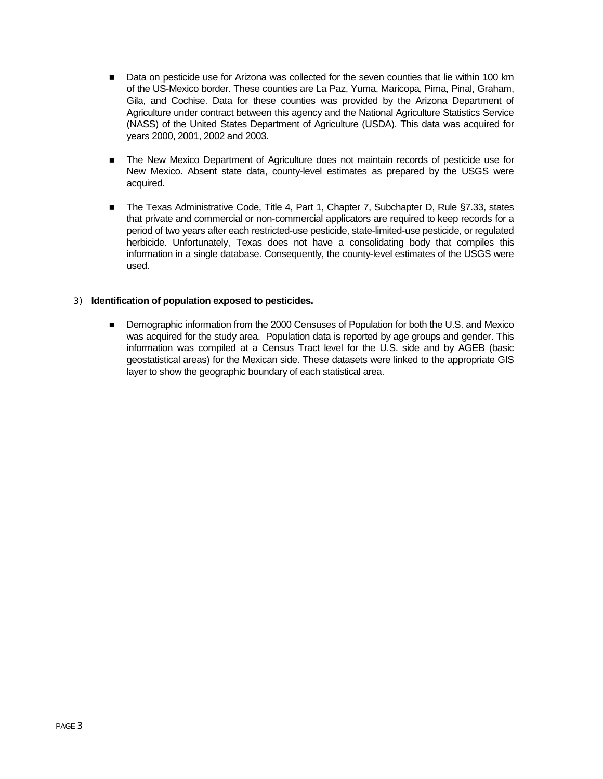- **Data on pesticide use for Arizona was collected for the seven counties that lie within 100 km** of the US-Mexico border. These counties are La Paz, Yuma, Maricopa, Pima, Pinal, Graham, Gila, and Cochise. Data for these counties was provided by the Arizona Department of Agriculture under contract between this agency and the National Agriculture Statistics Service (NASS) of the United States Department of Agriculture (USDA). This data was acquired for years 2000, 2001, 2002 and 2003.
- **The New Mexico Department of Agriculture does not maintain records of pesticide use for** New Mexico. Absent state data, county-level estimates as prepared by the USGS were acquired.
- The Texas Administrative Code, Title 4, Part 1, Chapter 7, Subchapter D, Rule §7.33, states that private and commercial or non-commercial applicators are required to keep records for a period of two years after each restricted-use pesticide, state-limited-use pesticide, or regulated herbicide. Unfortunately, Texas does not have a consolidating body that compiles this information in a single database. Consequently, the county-level estimates of the USGS were used.

#### 3) **Identification of population exposed to pesticides.**

**Demographic information from the 2000 Censuses of Population for both the U.S. and Mexico** was acquired for the study area. Population data is reported by age groups and gender. This information was compiled at a Census Tract level for the U.S. side and by AGEB (basic geostatistical areas) for the Mexican side. These datasets were linked to the appropriate GIS layer to show the geographic boundary of each statistical area.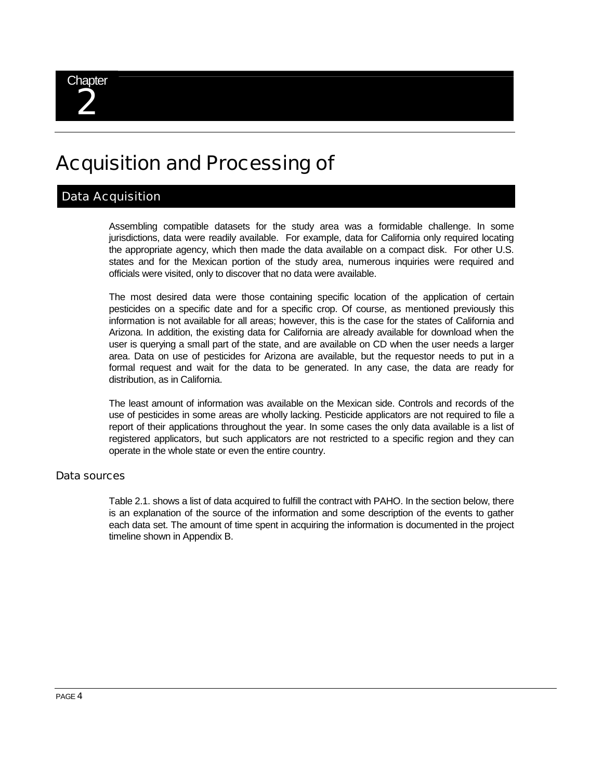## Acquisition and Processing of

### Data Acquisition

Assembling compatible datasets for the study area was a formidable challenge. In some jurisdictions, data were readily available. For example, data for California only required locating the appropriate agency, which then made the data available on a compact disk. For other U.S. states and for the Mexican portion of the study area, numerous inquiries were required and officials were visited, only to discover that no data were available.

The most desired data were those containing specific location of the application of certain pesticides on a specific date and for a specific crop. Of course, as mentioned previously this information is not available for all areas; however, this is the case for the states of California and Arizona. In addition, the existing data for California are already available for download when the user is querying a small part of the state, and are available on CD when the user needs a larger area. Data on use of pesticides for Arizona are available, but the requestor needs to put in a formal request and wait for the data to be generated. In any case, the data are ready for distribution, as in California.

The least amount of information was available on the Mexican side. Controls and records of the use of pesticides in some areas are wholly lacking. Pesticide applicators are not required to file a report of their applications throughout the year. In some cases the only data available is a list of registered applicators, but such applicators are not restricted to a specific region and they can operate in the whole state or even the entire country.

#### Data sources

Table 2.1. shows a list of data acquired to fulfill the contract with PAHO. In the section below, there is an explanation of the source of the information and some description of the events to gather each data set. The amount of time spent in acquiring the information is documented in the project timeline shown in Appendix B.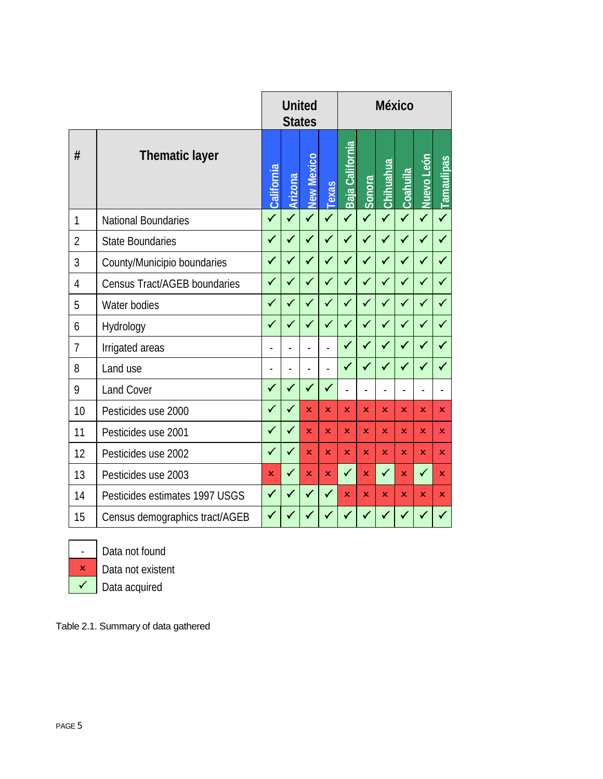|                |                                | <b>United</b><br><b>States</b> |                |              | <b>México</b>           |                         |                |              |                         |                      |                   |
|----------------|--------------------------------|--------------------------------|----------------|--------------|-------------------------|-------------------------|----------------|--------------|-------------------------|----------------------|-------------------|
| #              | <b>Thematic layer</b>          | California                     | <b>Arizona</b> | New Mexico   | Texas                   | Baja California         | Sonora         | Chihuahua    | <u>Coahuila</u>         | León<br><b>Nuevo</b> | <b>Tamaulipas</b> |
| 1              | <b>National Boundaries</b>     | $\checkmark$                   | $\checkmark$   |              | $\checkmark$            | $\checkmark$            | $\checkmark$   | $\checkmark$ |                         |                      | $\checkmark$      |
| $\overline{2}$ | <b>State Boundaries</b>        | $\checkmark$                   | $\checkmark$   |              | $\checkmark$            | $\checkmark$            | $\checkmark$   | $\checkmark$ | $\checkmark$            |                      |                   |
| 3              | County/Municipio boundaries    | $\checkmark$                   | $\checkmark$   | $\checkmark$ | ✓                       | $\checkmark$            | $\checkmark$   | $\checkmark$ | $\checkmark$            |                      |                   |
| 4              | Census Tract/AGEB boundaries   | $\checkmark$                   | $\checkmark$   | ✓            | $\checkmark$            | $\checkmark$            | $\checkmark$   | $\checkmark$ | $\checkmark$            | ✓                    | $\checkmark$      |
| 5              | Water bodies                   | $\checkmark$                   | $\checkmark$   |              | $\checkmark$            | $\checkmark$            | $\checkmark$   | $\checkmark$ | $\checkmark$            | ✓                    |                   |
| 6              | Hydrology                      | $\checkmark$                   | $\checkmark$   | $\checkmark$ | $\checkmark$            | $\checkmark$            | $\checkmark$   | $\checkmark$ | $\checkmark$            | ✓                    | $\checkmark$      |
| $\overline{1}$ | Irrigated areas                |                                |                |              |                         | $\checkmark$            | $\checkmark$   | $\checkmark$ | $\checkmark$            |                      |                   |
| 8              | Land use                       |                                |                |              |                         | $\checkmark$            | $\checkmark$   | $\checkmark$ | $\checkmark$            | $\checkmark$         |                   |
| 9              | <b>Land Cover</b>              | $\checkmark$                   | ✓              |              | $\checkmark$            | $\ddot{\phantom{a}}$    | $\overline{a}$ | L.           | ۷                       |                      |                   |
| 10             | Pesticides use 2000            | $\checkmark$                   | $\checkmark$   | x            | x                       | ×                       | x              | x            | x                       | x                    | x                 |
| 11             | Pesticides use 2001            | $\checkmark$                   | $\checkmark$   | x.           | $\mathbf x$             | x                       | x              | x            | $\overline{\mathbf{x}}$ | x                    | x                 |
| 12             | Pesticides use 2002            | $\checkmark$                   | $\checkmark$   | x            | $\overline{\mathbf{x}}$ | x.                      | x              | x            | $\overline{\mathbf{x}}$ | x                    | x                 |
| 13             | Pesticides use 2003            | x                              | ✓              | x            | $\mathsf{x}$            | $\checkmark$            | x              | $\checkmark$ | $\mathsf{x}$            | ✓                    | x                 |
| 14             | Pesticides estimates 1997 USGS | $\checkmark$                   | $\checkmark$   | ✓            | $\checkmark$            | $\overline{\mathbf{x}}$ | ×              | ×            | $\overline{\mathsf{x}}$ | x                    | x                 |
| 15             | Census demographics tract/AGEB | $\checkmark$                   |                |              |                         |                         |                |              |                         |                      |                   |



- Data not found

**x** Data not existent

Data acquired

Table 2.1. Summary of data gathered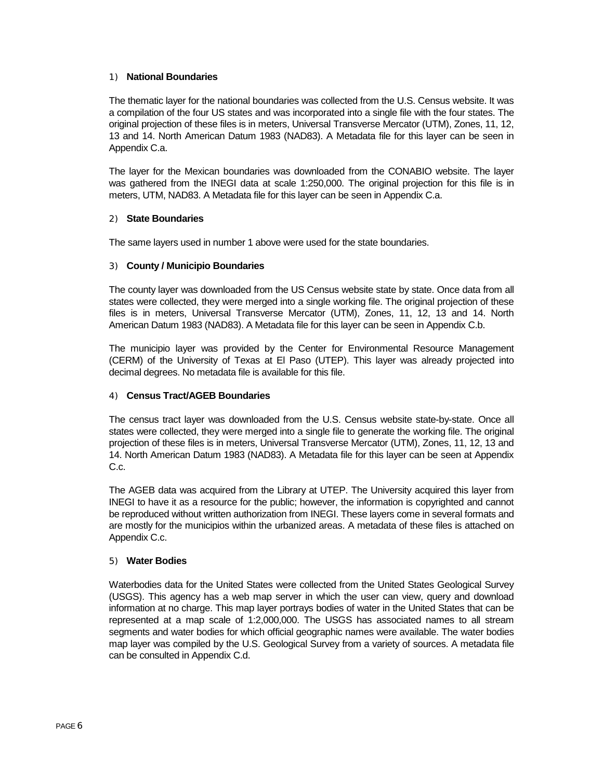#### 1) **National Boundaries**

The thematic layer for the national boundaries was collected from the U.S. Census website. It was a compilation of the four US states and was incorporated into a single file with the four states. The original projection of these files is in meters, Universal Transverse Mercator (UTM), Zones, 11, 12, 13 and 14. North American Datum 1983 (NAD83). A Metadata file for this layer can be seen in Appendix C.a.

The layer for the Mexican boundaries was downloaded from the CONABIO website. The layer was gathered from the INEGI data at scale 1:250,000. The original projection for this file is in meters, UTM, NAD83. A Metadata file for this layer can be seen in Appendix C.a.

#### 2) **State Boundaries**

The same layers used in number 1 above were used for the state boundaries.

#### 3) **County / Municipio Boundaries**

The county layer was downloaded from the US Census website state by state. Once data from all states were collected, they were merged into a single working file. The original projection of these files is in meters, Universal Transverse Mercator (UTM), Zones, 11, 12, 13 and 14. North American Datum 1983 (NAD83). A Metadata file for this layer can be seen in Appendix C.b.

The municipio layer was provided by the Center for Environmental Resource Management (CERM) of the University of Texas at El Paso (UTEP). This layer was already projected into decimal degrees. No metadata file is available for this file.

#### 4) **Census Tract/AGEB Boundaries**

The census tract layer was downloaded from the U.S. Census website state-by-state. Once all states were collected, they were merged into a single file to generate the working file. The original projection of these files is in meters, Universal Transverse Mercator (UTM), Zones, 11, 12, 13 and 14. North American Datum 1983 (NAD83). A Metadata file for this layer can be seen at Appendix C.c.

The AGEB data was acquired from the Library at UTEP. The University acquired this layer from INEGI to have it as a resource for the public; however, the information is copyrighted and cannot be reproduced without written authorization from INEGI. These layers come in several formats and are mostly for the municipios within the urbanized areas. A metadata of these files is attached on Appendix C.c.

#### 5) **Water Bodies**

Waterbodies data for the United States were collected from the United States Geological Survey (USGS). This agency has a web map server in which the user can view, query and download information at no charge. This map layer portrays bodies of water in the United States that can be represented at a map scale of 1:2,000,000. The USGS has associated names to all stream segments and water bodies for which official geographic names were available. The water bodies map layer was compiled by the U.S. Geological Survey from a variety of sources. A metadata file can be consulted in Appendix C.d.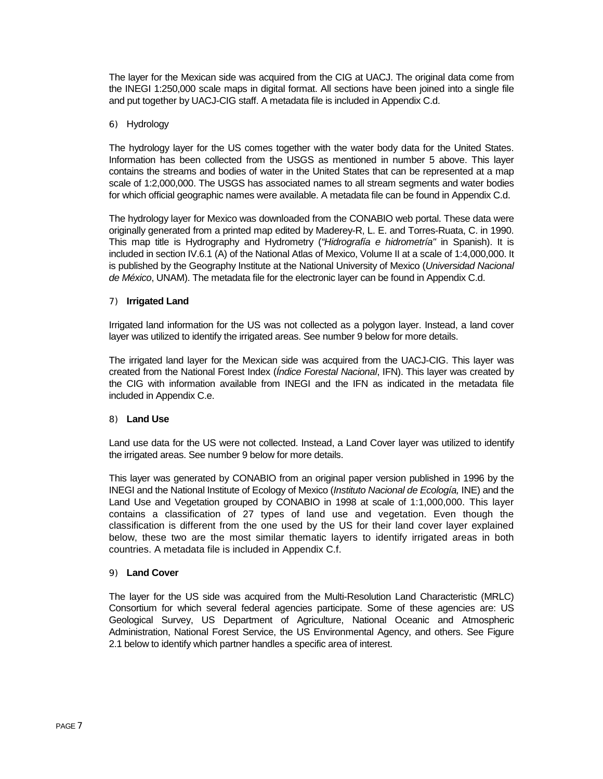The layer for the Mexican side was acquired from the CIG at UACJ. The original data come from the INEGI 1:250,000 scale maps in digital format. All sections have been joined into a single file and put together by UACJ-CIG staff. A metadata file is included in Appendix C.d.

#### 6) Hydrology

The hydrology layer for the US comes together with the water body data for the United States. Information has been collected from the USGS as mentioned in number 5 above. This layer contains the streams and bodies of water in the United States that can be represented at a map scale of 1:2,000,000. The USGS has associated names to all stream segments and water bodies for which official geographic names were available. A metadata file can be found in Appendix C.d.

The hydrology layer for Mexico was downloaded from the CONABIO web portal. These data were originally generated from a printed map edited by Maderey-R, L. E. and Torres-Ruata, C. in 1990. This map title is Hydrography and Hydrometry (*"Hidrografía e hidrometría"* in Spanish). It is included in section IV.6.1 (A) of the National Atlas of Mexico, Volume II at a scale of 1:4,000,000. It is published by the Geography Institute at the National University of Mexico (*Universidad Nacional de México*, UNAM). The metadata file for the electronic layer can be found in Appendix C.d.

#### 7) **Irrigated Land**

Irrigated land information for the US was not collected as a polygon layer. Instead, a land cover layer was utilized to identify the irrigated areas. See number 9 below for more details.

The irrigated land layer for the Mexican side was acquired from the UACJ-CIG. This layer was created from the National Forest Index (*Índice Forestal Nacional*, IFN). This layer was created by the CIG with information available from INEGI and the IFN as indicated in the metadata file included in Appendix C.e.

#### 8) **Land Use**

Land use data for the US were not collected. Instead, a Land Cover layer was utilized to identify the irrigated areas. See number 9 below for more details.

This layer was generated by CONABIO from an original paper version published in 1996 by the INEGI and the National Institute of Ecology of Mexico (*Instituto Nacional de Ecología,* INE) and the Land Use and Vegetation grouped by CONABIO in 1998 at scale of 1:1,000,000. This layer contains a classification of 27 types of land use and vegetation. Even though the classification is different from the one used by the US for their land cover layer explained below, these two are the most similar thematic layers to identify irrigated areas in both countries. A metadata file is included in Appendix C.f.

#### 9) **Land Cover**

The layer for the US side was acquired from the Multi-Resolution Land Characteristic (MRLC) Consortium for which several federal agencies participate. Some of these agencies are: US Geological Survey, US Department of Agriculture, National Oceanic and Atmospheric Administration, National Forest Service, the US Environmental Agency, and others. See Figure 2.1 below to identify which partner handles a specific area of interest.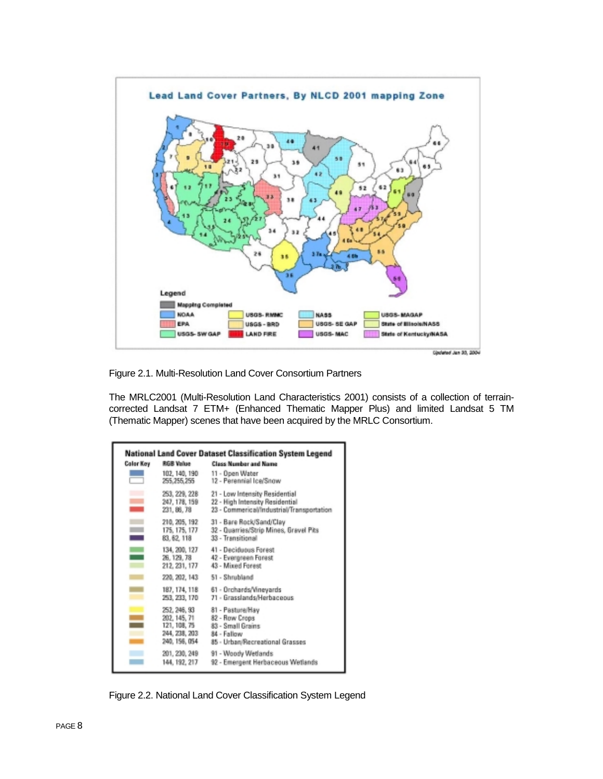

Figure 2.1. Multi-Resolution Land Cover Consortium Partners

The MRLC2001 (Multi-Resolution Land Characteristics 2001) consists of a collection of terraincorrected Landsat 7 ETM+ (Enhanced Thematic Mapper Plus) and limited Landsat 5 TM (Thematic Mapper) scenes that have been acquired by the MRLC Consortium.

|                  | National Land Cover Dataset Classification System Legend                       |                                                                                                                |  |  |  |  |
|------------------|--------------------------------------------------------------------------------|----------------------------------------------------------------------------------------------------------------|--|--|--|--|
| <b>Color Key</b> | <b>RGB Value</b>                                                               | <b>Class Number and Name</b>                                                                                   |  |  |  |  |
|                  | 102, 140, 190<br>255,255,255                                                   | 11 - Open Water<br>12 - Perennial Ice/Snow                                                                     |  |  |  |  |
| ÷                | 253, 229, 228<br>247, 178, 159<br>231, 86, 78                                  | 21 - Low Intensity Residential<br>22 - High Intensity Residential<br>23 - Commerical/Industrial/Transportation |  |  |  |  |
| Ξ                | 210, 205, 192<br>175, 175, 177<br>83, 62, 118                                  | 31 - Bare Rock/Sand/Clay<br>32 - Quarries/Strip Mines, Gravel Pits<br>33 - Transitional                        |  |  |  |  |
| =                | 134, 200, 127<br>26, 129, 78<br>212, 231, 177                                  | 41 - Deciduous Forest<br>42 - Evergreen Forest<br>43 - Mixed Forest                                            |  |  |  |  |
|                  | 220, 202, 143                                                                  | 51 - Shrubland                                                                                                 |  |  |  |  |
|                  | 187, 174, 118<br>253, 233, 170                                                 | 61 - Orchards/Vineyards<br>71 - Grasslands/Herbaceous                                                          |  |  |  |  |
| Ξ                | 252, 246, 93<br>202, 145, 71<br>121, 108, 75<br>244, 238, 203<br>240, 156, 054 | 81 - Pasture/Hay<br>82 - Row Crops<br>83 - Small Grains<br>84 - Fallow<br>85 - Urban/Recreational Grasses      |  |  |  |  |
|                  | 201, 230, 249<br>144, 192, 217                                                 | 91 - Woody Wedands<br>92 - Emergent Herbaceous Wetlands                                                        |  |  |  |  |

Figure 2.2. National Land Cover Classification System Legend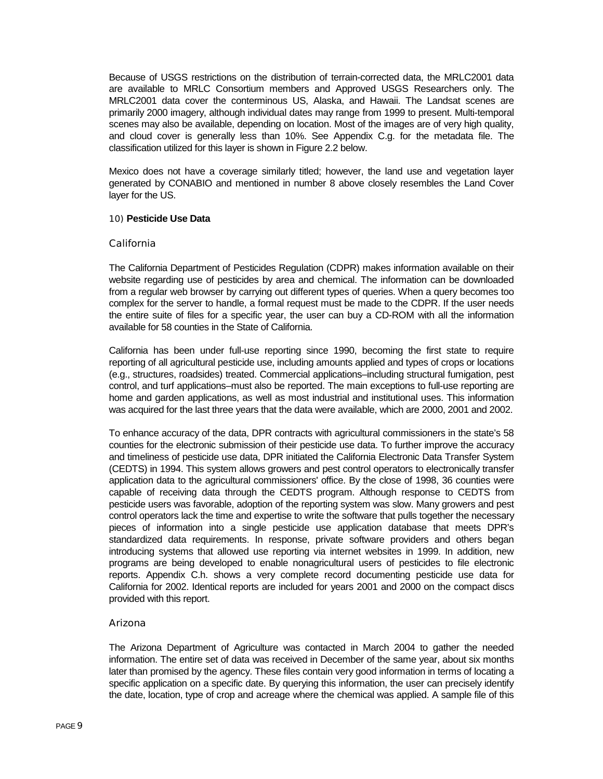Because of USGS restrictions on the distribution of terrain-corrected data, the MRLC2001 data are available to MRLC Consortium members and Approved USGS Researchers only. The MRLC2001 data cover the conterminous US, Alaska, and Hawaii. The Landsat scenes are primarily 2000 imagery, although individual dates may range from 1999 to present. Multi-temporal scenes may also be available, depending on location. Most of the images are of very high quality, and cloud cover is generally less than 10%. See Appendix C.g. for the metadata file. The classification utilized for this layer is shown in Figure 2.2 below.

Mexico does not have a coverage similarly titled; however, the land use and vegetation layer generated by CONABIO and mentioned in number 8 above closely resembles the Land Cover layer for the US.

#### 10) **Pesticide Use Data**

#### California

The California Department of Pesticides Regulation (CDPR) makes information available on their website regarding use of pesticides by area and chemical. The information can be downloaded from a regular web browser by carrying out different types of queries. When a query becomes too complex for the server to handle, a formal request must be made to the CDPR. If the user needs the entire suite of files for a specific year, the user can buy a CD-ROM with all the information available for 58 counties in the State of California.

California has been under full-use reporting since 1990, becoming the first state to require reporting of all agricultural pesticide use, including amounts applied and types of crops or locations (e.g., structures, roadsides) treated. Commercial applications–including structural fumigation, pest control, and turf applications–must also be reported. The main exceptions to full-use reporting are home and garden applications, as well as most industrial and institutional uses. This information was acquired for the last three years that the data were available, which are 2000, 2001 and 2002.

To enhance accuracy of the data, DPR contracts with agricultural commissioners in the state's 58 counties for the electronic submission of their pesticide use data. To further improve the accuracy and timeliness of pesticide use data, DPR initiated the California Electronic Data Transfer System (CEDTS) in 1994. This system allows growers and pest control operators to electronically transfer application data to the agricultural commissioners' office. By the close of 1998, 36 counties were capable of receiving data through the CEDTS program. Although response to CEDTS from pesticide users was favorable, adoption of the reporting system was slow. Many growers and pest control operators lack the time and expertise to write the software that pulls together the necessary pieces of information into a single pesticide use application database that meets DPR's standardized data requirements. In response, private software providers and others began introducing systems that allowed use reporting via internet websites in 1999. In addition, new programs are being developed to enable nonagricultural users of pesticides to file electronic reports. Appendix C.h. shows a very complete record documenting pesticide use data for California for 2002. Identical reports are included for years 2001 and 2000 on the compact discs provided with this report.

#### Arizona

The Arizona Department of Agriculture was contacted in March 2004 to gather the needed information. The entire set of data was received in December of the same year, about six months later than promised by the agency. These files contain very good information in terms of locating a specific application on a specific date. By querying this information, the user can precisely identify the date, location, type of crop and acreage where the chemical was applied. A sample file of this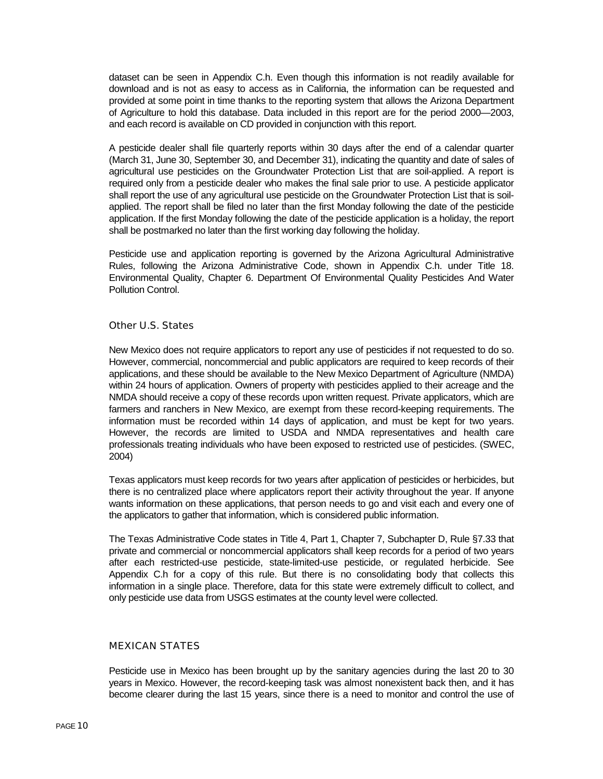dataset can be seen in Appendix C.h. Even though this information is not readily available for download and is not as easy to access as in California, the information can be requested and provided at some point in time thanks to the reporting system that allows the Arizona Department of Agriculture to hold this database. Data included in this report are for the period 2000—2003, and each record is available on CD provided in conjunction with this report.

A pesticide dealer shall file quarterly reports within 30 days after the end of a calendar quarter (March 31, June 30, September 30, and December 31), indicating the quantity and date of sales of agricultural use pesticides on the Groundwater Protection List that are soil-applied. A report is required only from a pesticide dealer who makes the final sale prior to use. A pesticide applicator shall report the use of any agricultural use pesticide on the Groundwater Protection List that is soilapplied. The report shall be filed no later than the first Monday following the date of the pesticide application. If the first Monday following the date of the pesticide application is a holiday, the report shall be postmarked no later than the first working day following the holiday.

Pesticide use and application reporting is governed by the Arizona Agricultural Administrative Rules, following the Arizona Administrative Code, shown in Appendix C.h. under Title 18. Environmental Quality, Chapter 6. Department Of Environmental Quality Pesticides And Water Pollution Control.

#### Other U.S. States

New Mexico does not require applicators to report any use of pesticides if not requested to do so. However, commercial, noncommercial and public applicators are required to keep records of their applications, and these should be available to the New Mexico Department of Agriculture (NMDA) within 24 hours of application. Owners of property with pesticides applied to their acreage and the NMDA should receive a copy of these records upon written request. Private applicators, which are farmers and ranchers in New Mexico, are exempt from these record-keeping requirements. The information must be recorded within 14 days of application, and must be kept for two years. However, the records are limited to USDA and NMDA representatives and health care professionals treating individuals who have been exposed to restricted use of pesticides. (SWEC, 2004)

Texas applicators must keep records for two years after application of pesticides or herbicides, but there is no centralized place where applicators report their activity throughout the year. If anyone wants information on these applications, that person needs to go and visit each and every one of the applicators to gather that information, which is considered public information.

The Texas Administrative Code states in Title 4, Part 1, Chapter 7, Subchapter D, Rule §7.33 that private and commercial or noncommercial applicators shall keep records for a period of two years after each restricted-use pesticide, state-limited-use pesticide, or regulated herbicide. See Appendix C.h for a copy of this rule. But there is no consolidating body that collects this information in a single place. Therefore, data for this state were extremely difficult to collect, and only pesticide use data from USGS estimates at the county level were collected.

#### MEXICAN STATES

Pesticide use in Mexico has been brought up by the sanitary agencies during the last 20 to 30 years in Mexico. However, the record-keeping task was almost nonexistent back then, and it has become clearer during the last 15 years, since there is a need to monitor and control the use of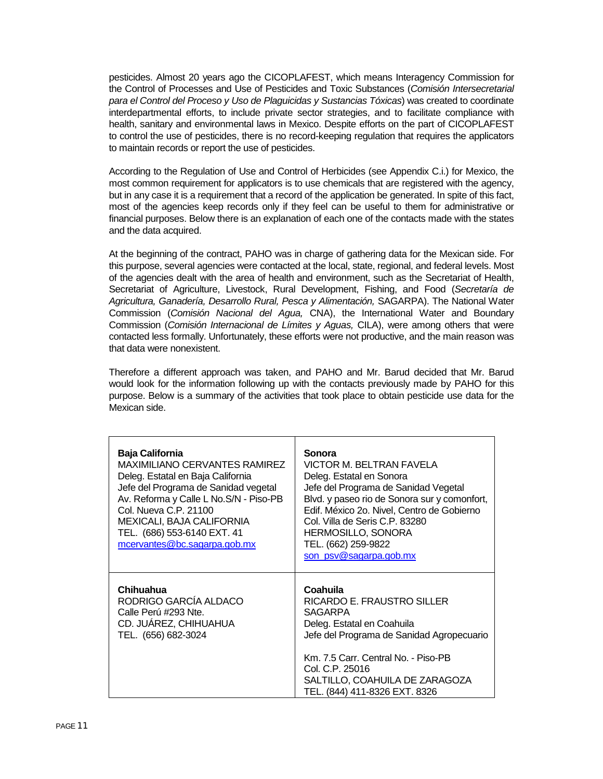pesticides. Almost 20 years ago the CICOPLAFEST, which means Interagency Commission for the Control of Processes and Use of Pesticides and Toxic Substances (*Comisión Intersecretarial para el Control del Proceso y Uso de Plaguicidas y Sustancias Tóxicas*) was created to coordinate interdepartmental efforts, to include private sector strategies, and to facilitate compliance with health, sanitary and environmental laws in Mexico. Despite efforts on the part of CICOPLAFEST to control the use of pesticides, there is no record-keeping regulation that requires the applicators to maintain records or report the use of pesticides.

According to the Regulation of Use and Control of Herbicides (see Appendix C.i.) for Mexico, the most common requirement for applicators is to use chemicals that are registered with the agency, but in any case it is a requirement that a record of the application be generated. In spite of this fact, most of the agencies keep records only if they feel can be useful to them for administrative or financial purposes. Below there is an explanation of each one of the contacts made with the states and the data acquired.

At the beginning of the contract, PAHO was in charge of gathering data for the Mexican side. For this purpose, several agencies were contacted at the local, state, regional, and federal levels. Most of the agencies dealt with the area of health and environment, such as the Secretariat of Health, Secretariat of Agriculture, Livestock, Rural Development, Fishing, and Food (*Secretaría de Agricultura, Ganadería, Desarrollo Rural, Pesca y Alimentación,* SAGARPA). The National Water Commission (*Comisión Nacional del Agua,* CNA), the International Water and Boundary Commission (*Comisión Internacional de Límites y Aguas,* CILA), were among others that were contacted less formally. Unfortunately, these efforts were not productive, and the main reason was that data were nonexistent.

Therefore a different approach was taken, and PAHO and Mr. Barud decided that Mr. Barud would look for the information following up with the contacts previously made by PAHO for this purpose. Below is a summary of the activities that took place to obtain pesticide use data for the Mexican side.

| <b>Baja California</b><br><b>MAXIMILIANO CERVANTES RAMIREZ</b><br>Deleg. Estatal en Baja California<br>Jefe del Programa de Sanidad vegetal<br>Av. Reforma y Calle L No.S/N - Piso-PB<br>Col. Nueva C.P. 21100<br>MEXICALI, BAJA CALIFORNIA<br>TEL. (686) 553-6140 EXT. 41<br>mcervantes@bc.sagarpa.gob.mx | Sonora<br>VICTOR M. BELTRAN FAVELA<br>Deleg. Estatal en Sonora<br>Jefe del Programa de Sanidad Vegetal<br>Blvd. y paseo rio de Sonora sur y comonfort,<br>Edif. México 2o. Nivel, Centro de Gobierno<br>Col. Villa de Seris C.P. 83280<br><b>HERMOSILLO, SONORA</b><br>TEL. (662) 259-9822<br>son_psv@sagarpa.gob.mx |
|------------------------------------------------------------------------------------------------------------------------------------------------------------------------------------------------------------------------------------------------------------------------------------------------------------|----------------------------------------------------------------------------------------------------------------------------------------------------------------------------------------------------------------------------------------------------------------------------------------------------------------------|
| Chihuahua<br>RODRIGO GARCÍA ALDACO<br>Calle Perú #293 Nte.<br>CD. JUÁREZ, CHIHUAHUA<br>TEL. (656) 682-3024                                                                                                                                                                                                 | Coahuila<br>RICARDO E. FRAUSTRO SILLER<br><b>SAGARPA</b><br>Deleg. Estatal en Coahuila<br>Jefe del Programa de Sanidad Agropecuario<br>Km. 7.5 Carr. Central No. - Piso-PB<br>Col. C.P. 25016<br>SALTILLO, COAHUILA DE ZARAGOZA<br>TEL. (844) 411-8326 EXT. 8326                                                     |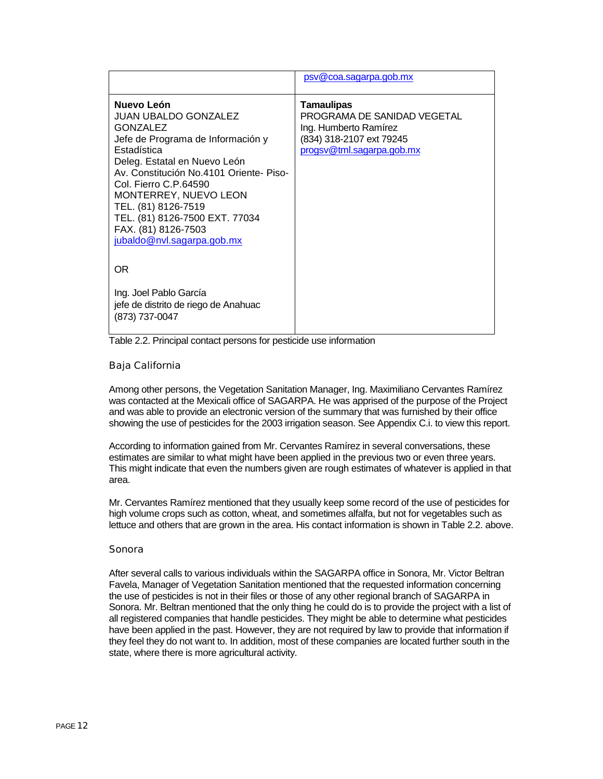|                                                                                                                                                                                                                                                                                                                                                      | psy@coa.sagarpa.gob.mx                                                                                                             |
|------------------------------------------------------------------------------------------------------------------------------------------------------------------------------------------------------------------------------------------------------------------------------------------------------------------------------------------------------|------------------------------------------------------------------------------------------------------------------------------------|
| Nuevo León<br>JUAN UBALDO GONZALEZ<br><b>GONZALEZ</b><br>Jefe de Programa de Información y<br>Estadística<br>Deleg. Estatal en Nuevo León<br>Av. Constitución No.4101 Oriente- Piso-<br>Col. Fierro C.P.64590<br>MONTERREY, NUEVO LEON<br>TEL. (81) 8126-7519<br>TEL. (81) 8126-7500 EXT. 77034<br>FAX. (81) 8126-7503<br>jubaldo@nvl.sagarpa.gob.mx | <b>Tamaulipas</b><br>PROGRAMA DE SANIDAD VEGETAL<br>Ing. Humberto Ramírez<br>(834) 318-2107 ext 79245<br>progsv@tml.sagarpa.gob.mx |
| 0R                                                                                                                                                                                                                                                                                                                                                   |                                                                                                                                    |
| Ing. Joel Pablo García<br>jefe de distrito de riego de Anahuac<br>(873) 737-0047                                                                                                                                                                                                                                                                     |                                                                                                                                    |

Table 2.2. Principal contact persons for pesticide use information

#### Baja California

Among other persons, the Vegetation Sanitation Manager, Ing. Maximiliano Cervantes Ramírez was contacted at the Mexicali office of SAGARPA. He was apprised of the purpose of the Project and was able to provide an electronic version of the summary that was furnished by their office showing the use of pesticides for the 2003 irrigation season. See Appendix C.i. to view this report.

According to information gained from Mr. Cervantes Ramírez in several conversations, these estimates are similar to what might have been applied in the previous two or even three years. This might indicate that even the numbers given are rough estimates of whatever is applied in that area.

Mr. Cervantes Ramírez mentioned that they usually keep some record of the use of pesticides for high volume crops such as cotton, wheat, and sometimes alfalfa, but not for vegetables such as lettuce and others that are grown in the area. His contact information is shown in Table 2.2. above.

#### Sonora

After several calls to various individuals within the SAGARPA office in Sonora, Mr. Victor Beltran Favela, Manager of Vegetation Sanitation mentioned that the requested information concerning the use of pesticides is not in their files or those of any other regional branch of SAGARPA in Sonora. Mr. Beltran mentioned that the only thing he could do is to provide the project with a list of all registered companies that handle pesticides. They might be able to determine what pesticides have been applied in the past. However, they are not required by law to provide that information if they feel they do not want to. In addition, most of these companies are located further south in the state, where there is more agricultural activity.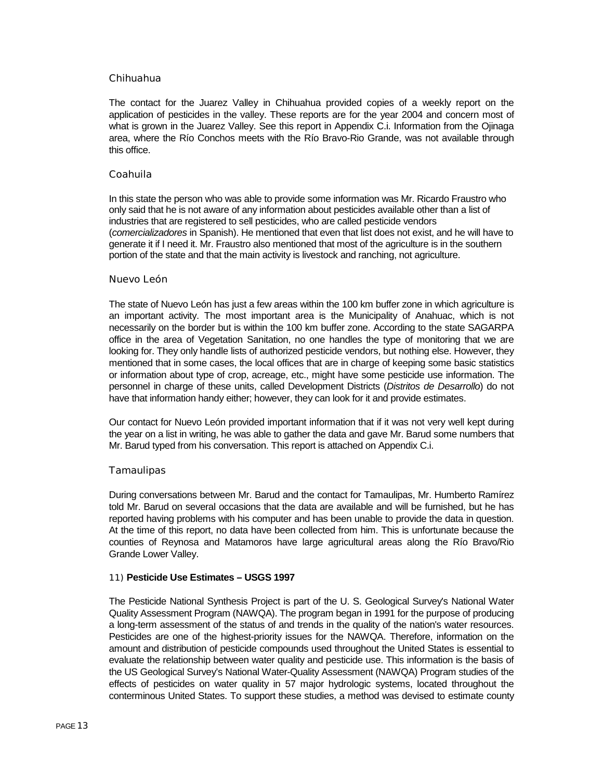#### Chihuahua

The contact for the Juarez Valley in Chihuahua provided copies of a weekly report on the application of pesticides in the valley. These reports are for the year 2004 and concern most of what is grown in the Juarez Valley. See this report in Appendix C.i. Information from the Ojinaga area, where the Río Conchos meets with the Río Bravo-Rio Grande, was not available through this office.

#### Coahuila

In this state the person who was able to provide some information was Mr. Ricardo Fraustro who only said that he is not aware of any information about pesticides available other than a list of industries that are registered to sell pesticides, who are called pesticide vendors (*comercializadores* in Spanish). He mentioned that even that list does not exist, and he will have to generate it if I need it. Mr. Fraustro also mentioned that most of the agriculture is in the southern portion of the state and that the main activity is livestock and ranching, not agriculture.

#### Nuevo León

The state of Nuevo León has just a few areas within the 100 km buffer zone in which agriculture is an important activity. The most important area is the Municipality of Anahuac, which is not necessarily on the border but is within the 100 km buffer zone. According to the state SAGARPA office in the area of Vegetation Sanitation, no one handles the type of monitoring that we are looking for. They only handle lists of authorized pesticide vendors, but nothing else. However, they mentioned that in some cases, the local offices that are in charge of keeping some basic statistics or information about type of crop, acreage, etc., might have some pesticide use information. The personnel in charge of these units, called Development Districts (*Distritos de Desarrollo*) do not have that information handy either; however, they can look for it and provide estimates.

Our contact for Nuevo León provided important information that if it was not very well kept during the year on a list in writing, he was able to gather the data and gave Mr. Barud some numbers that Mr. Barud typed from his conversation. This report is attached on Appendix C.i.

#### **Tamaulipas**

During conversations between Mr. Barud and the contact for Tamaulipas, Mr. Humberto Ramírez told Mr. Barud on several occasions that the data are available and will be furnished, but he has reported having problems with his computer and has been unable to provide the data in question. At the time of this report, no data have been collected from him. This is unfortunate because the counties of Reynosa and Matamoros have large agricultural areas along the Río Bravo/Rio Grande Lower Valley.

#### 11) **Pesticide Use Estimates – USGS 1997**

The Pesticide National Synthesis Project is part of the U. S. Geological Survey's National Water Quality Assessment Program (NAWQA). The program began in 1991 for the purpose of producing a long-term assessment of the status of and trends in the quality of the nation's water resources. Pesticides are one of the highest-priority issues for the NAWQA. Therefore, information on the amount and distribution of pesticide compounds used throughout the United States is essential to evaluate the relationship between water quality and pesticide use. This information is the basis of the US Geological Survey's National Water-Quality Assessment (NAWQA) Program studies of the effects of pesticides on water quality in 57 major hydrologic systems, located throughout the conterminous United States. To support these studies, a method was devised to estimate county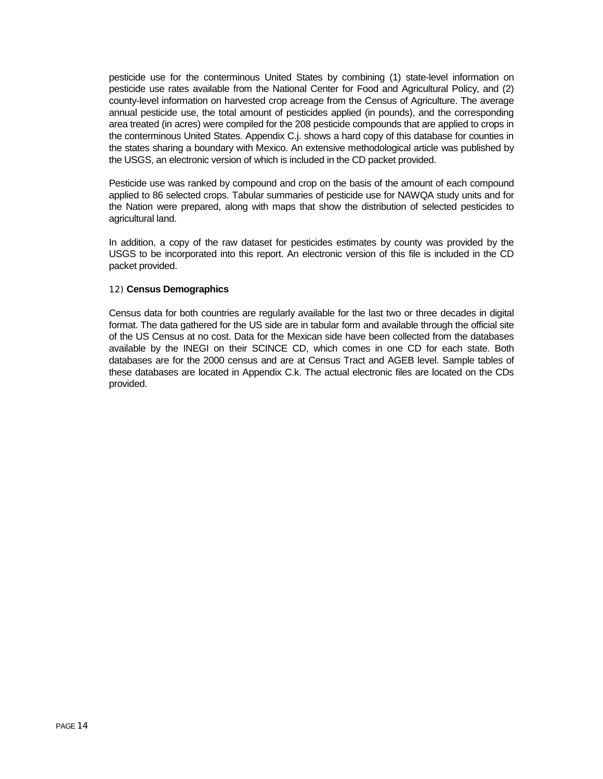pesticide use for the conterminous United States by combining (1) state-level information on pesticide use rates available from the National Center for Food and Agricultural Policy, and (2) county-level information on harvested crop acreage from the Census of Agriculture. The average annual pesticide use, the total amount of pesticides applied (in pounds), and the corresponding area treated (in acres) were compiled for the 208 pesticide compounds that are applied to crops in the conterminous United States. Appendix C.j. shows a hard copy of this database for counties in the states sharing a boundary with Mexico. An extensive methodological article was published by the USGS, an electronic version of which is included in the CD packet provided.

Pesticide use was ranked by compound and crop on the basis of the amount of each compound applied to 86 selected crops. Tabular summaries of pesticide use for NAWQA study units and for the Nation were prepared, along with maps that show the distribution of selected pesticides to agricultural land.

In addition, a copy of the raw dataset for pesticides estimates by county was provided by the USGS to be incorporated into this report. An electronic version of this file is included in the CD packet provided.

#### 12) **Census Demographics**

Census data for both countries are regularly available for the last two or three decades in digital format. The data gathered for the US side are in tabular form and available through the official site of the US Census at no cost. Data for the Mexican side have been collected from the databases available by the INEGI on their SCINCE CD, which comes in one CD for each state. Both databases are for the 2000 census and are at Census Tract and AGEB level. Sample tables of these databases are located in Appendix C.k. The actual electronic files are located on the CDs provided.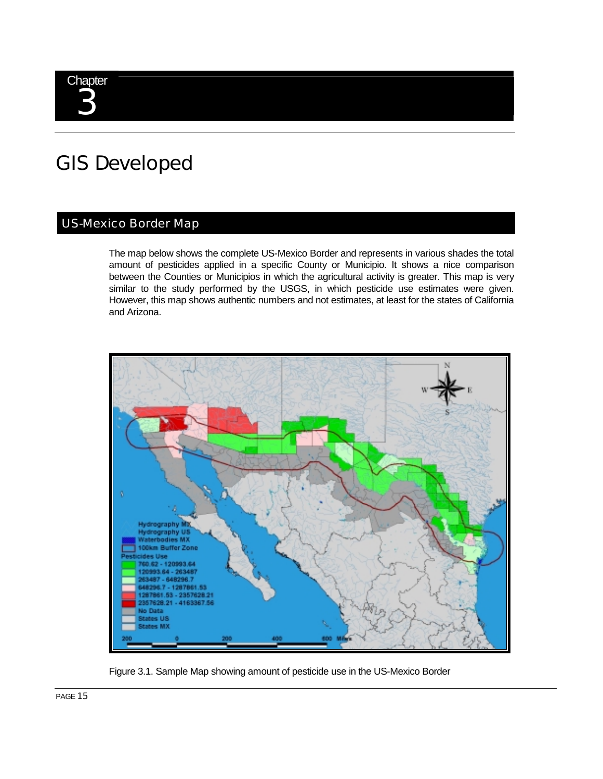

## GIS Developed

### US-Mexico Border Map

The map below shows the complete US-Mexico Border and represents in various shades the total amount of pesticides applied in a specific County or Municipio. It shows a nice comparison between the Counties or Municipios in which the agricultural activity is greater. This map is very similar to the study performed by the USGS, in which pesticide use estimates were given. However, this map shows authentic numbers and not estimates, at least for the states of California and Arizona.



Figure 3.1. Sample Map showing amount of pesticide use in the US-Mexico Border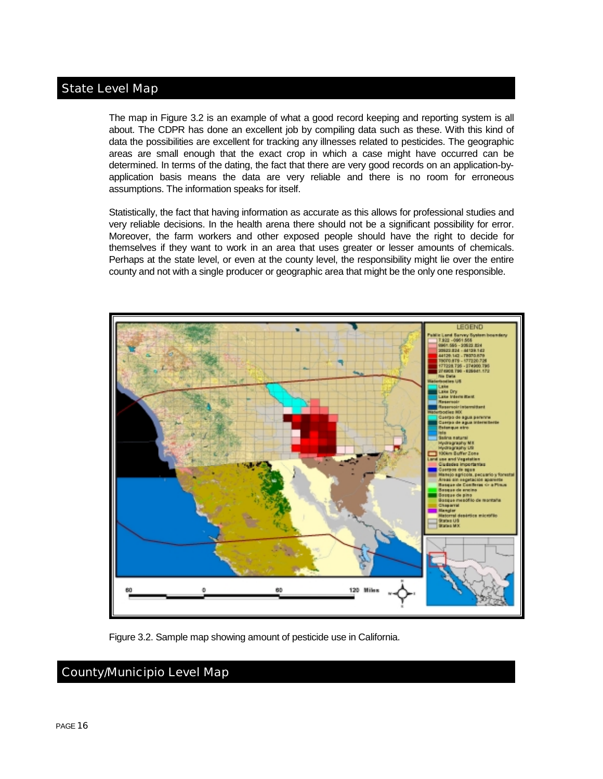### State Level Map

The map in Figure 3.2 is an example of what a good record keeping and reporting system is all about. The CDPR has done an excellent job by compiling data such as these. With this kind of data the possibilities are excellent for tracking any illnesses related to pesticides. The geographic areas are small enough that the exact crop in which a case might have occurred can be determined. In terms of the dating, the fact that there are very good records on an application-byapplication basis means the data are very reliable and there is no room for erroneous assumptions. The information speaks for itself.

Statistically, the fact that having information as accurate as this allows for professional studies and very reliable decisions. In the health arena there should not be a significant possibility for error. Moreover, the farm workers and other exposed people should have the right to decide for themselves if they want to work in an area that uses greater or lesser amounts of chemicals. Perhaps at the state level, or even at the county level, the responsibility might lie over the entire county and not with a single producer or geographic area that might be the only one responsible.



Figure 3.2. Sample map showing amount of pesticide use in California.

### County/Municipio Level Map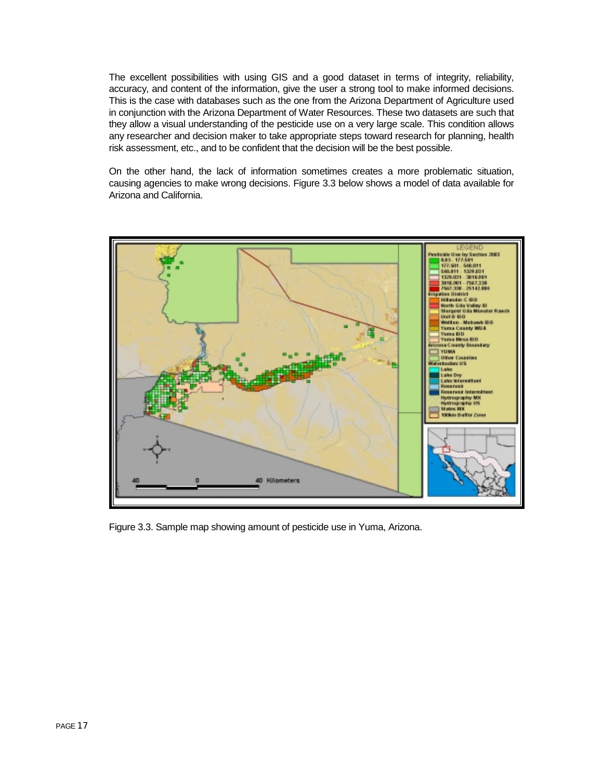The excellent possibilities with using GIS and a good dataset in terms of integrity, reliability, accuracy, and content of the information, give the user a strong tool to make informed decisions. This is the case with databases such as the one from the Arizona Department of Agriculture used in conjunction with the Arizona Department of Water Resources. These two datasets are such that they allow a visual understanding of the pesticide use on a very large scale. This condition allows any researcher and decision maker to take appropriate steps toward research for planning, health risk assessment, etc., and to be confident that the decision will be the best possible.

On the other hand, the lack of information sometimes creates a more problematic situation, causing agencies to make wrong decisions. Figure 3.3 below shows a model of data available for Arizona and California.



Figure 3.3. Sample map showing amount of pesticide use in Yuma, Arizona.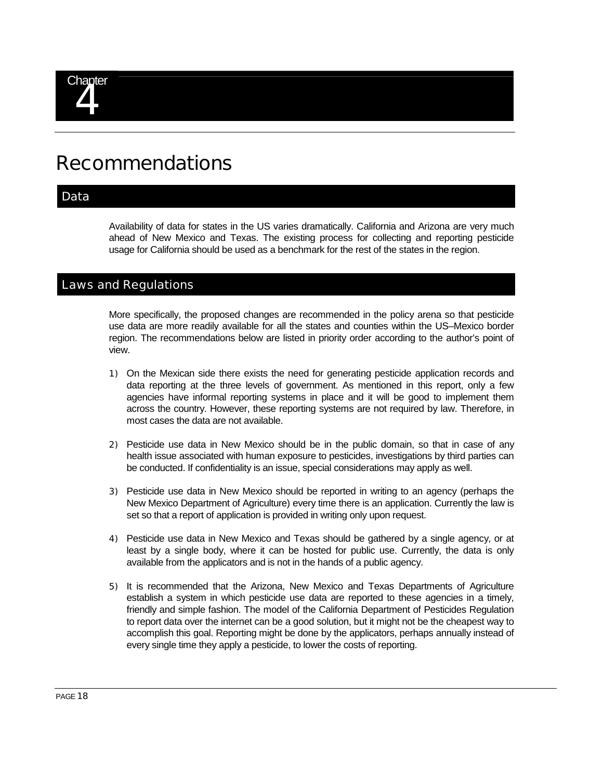## Recommendations

#### Data

Availability of data for states in the US varies dramatically. California and Arizona are very much ahead of New Mexico and Texas. The existing process for collecting and reporting pesticide usage for California should be used as a benchmark for the rest of the states in the region.

#### Laws and Regulations

More specifically, the proposed changes are recommended in the policy arena so that pesticide use data are more readily available for all the states and counties within the US–Mexico border region. The recommendations below are listed in priority order according to the author's point of view.

- 1) On the Mexican side there exists the need for generating pesticide application records and data reporting at the three levels of government. As mentioned in this report, only a few agencies have informal reporting systems in place and it will be good to implement them across the country. However, these reporting systems are not required by law. Therefore, in most cases the data are not available.
- 2) Pesticide use data in New Mexico should be in the public domain, so that in case of any health issue associated with human exposure to pesticides, investigations by third parties can be conducted. If confidentiality is an issue, special considerations may apply as well.
- 3) Pesticide use data in New Mexico should be reported in writing to an agency (perhaps the New Mexico Department of Agriculture) every time there is an application. Currently the law is set so that a report of application is provided in writing only upon request.
- 4) Pesticide use data in New Mexico and Texas should be gathered by a single agency, or at least by a single body, where it can be hosted for public use. Currently, the data is only available from the applicators and is not in the hands of a public agency.
- 5) It is recommended that the Arizona, New Mexico and Texas Departments of Agriculture establish a system in which pesticide use data are reported to these agencies in a timely, friendly and simple fashion. The model of the California Department of Pesticides Regulation to report data over the internet can be a good solution, but it might not be the cheapest way to accomplish this goal. Reporting might be done by the applicators, perhaps annually instead of every single time they apply a pesticide, to lower the costs of reporting.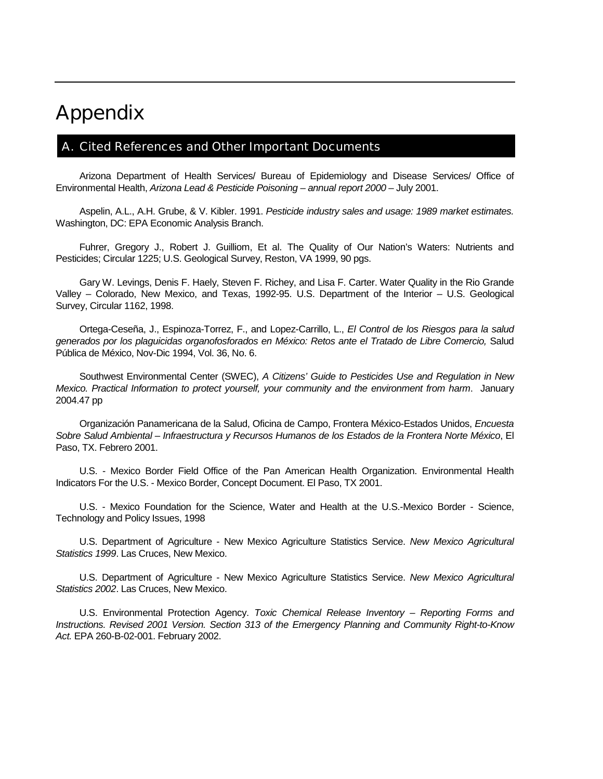## Appendix

### A. Cited References and Other Important Documents

Arizona Department of Health Services/ Bureau of Epidemiology and Disease Services/ Office of Environmental Health, *Arizona Lead & Pesticide Poisoning – annual report 2000* – July 2001.

Aspelin, A.L., A.H. Grube, & V. Kibler. 1991. *Pesticide industry sales and usage: 1989 market estimates.* Washington, DC: EPA Economic Analysis Branch.

Fuhrer, Gregory J., Robert J. Guilliom, Et al. The Quality of Our Nation's Waters: Nutrients and Pesticides; Circular 1225; U.S. Geological Survey, Reston, VA 1999, 90 pgs.

Gary W. Levings, Denis F. Haely, Steven F. Richey, and Lisa F. Carter. Water Quality in the Rio Grande Valley – Colorado, New Mexico, and Texas, 1992-95. U.S. Department of the Interior – U.S. Geological Survey, Circular 1162, 1998.

Ortega-Ceseña, J., Espinoza-Torrez, F., and Lopez-Carrillo, L., *El Control de los Riesgos para la salud generados por los plaguicidas organofosforados en México: Retos ante el Tratado de Libre Comercio,* Salud Pública de México, Nov-Dic 1994, Vol. 36, No. 6.

Southwest Environmental Center (SWEC), *A Citizens' Guide to Pesticides Use and Regulation in New Mexico. Practical Information to protect yourself, your community and the environment from harm*. January 2004.47 pp

Organización Panamericana de la Salud, Oficina de Campo, Frontera México-Estados Unidos, *Encuesta Sobre Salud Ambiental – Infraestructura y Recursos Humanos de los Estados de la Frontera Norte México*, El Paso, TX. Febrero 2001.

U.S. - Mexico Border Field Office of the Pan American Health Organization. Environmental Health Indicators For the U.S. - Mexico Border, Concept Document. El Paso, TX 2001.

U.S. - Mexico Foundation for the Science, Water and Health at the U.S.-Mexico Border - Science, Technology and Policy Issues, 1998

U.S. Department of Agriculture - New Mexico Agriculture Statistics Service. *New Mexico Agricultural Statistics 1999*. Las Cruces, New Mexico.

U.S. Department of Agriculture - New Mexico Agriculture Statistics Service. *New Mexico Agricultural Statistics 2002*. Las Cruces, New Mexico.

U.S. Environmental Protection Agency. *Toxic Chemical Release Inventory – Reporting Forms and Instructions. Revised 2001 Version. Section 313 of the Emergency Planning and Community Right-to-Know Act.* EPA 260-B-02-001. February 2002.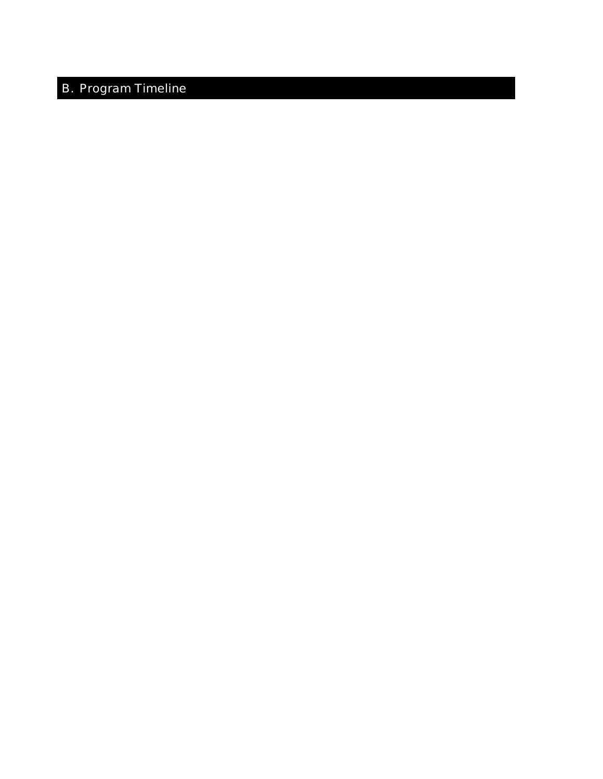## B. Program Timeline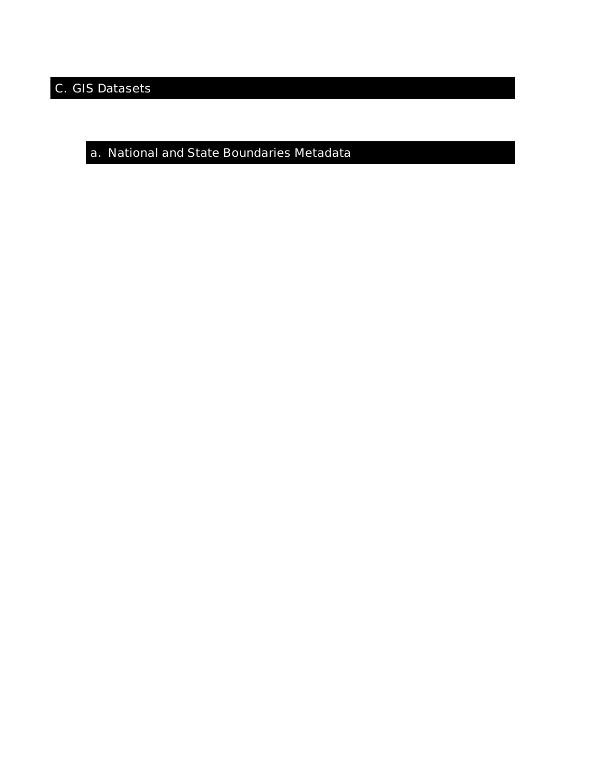## C. GIS Datasets

a. National and State Boundaries Metadata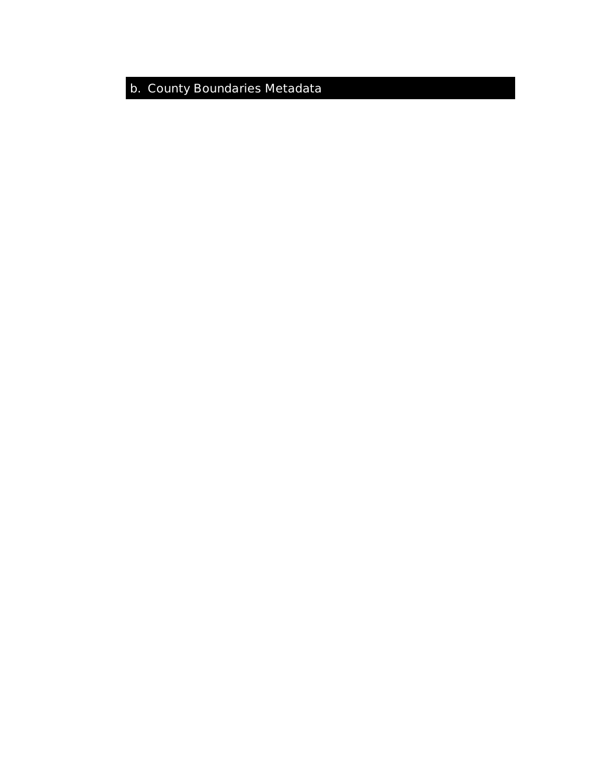b. County Boundaries Metadata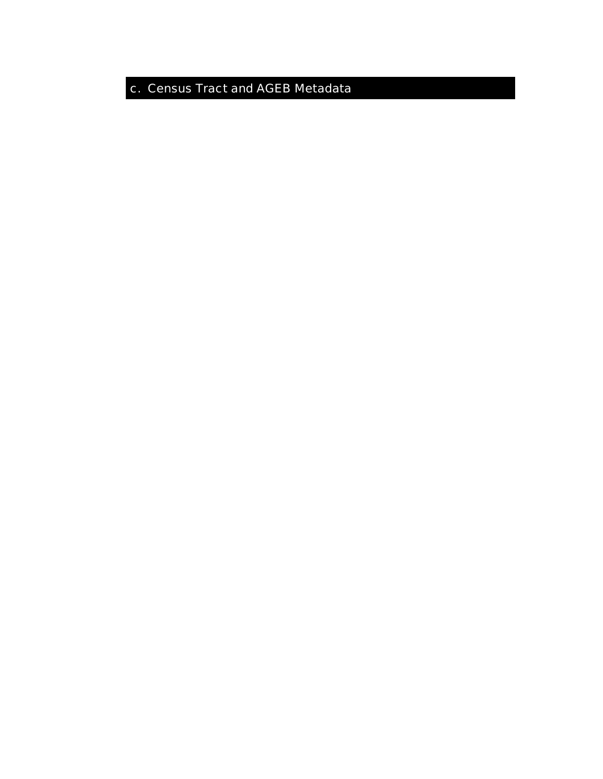c. Census Tract and AGEB Metadata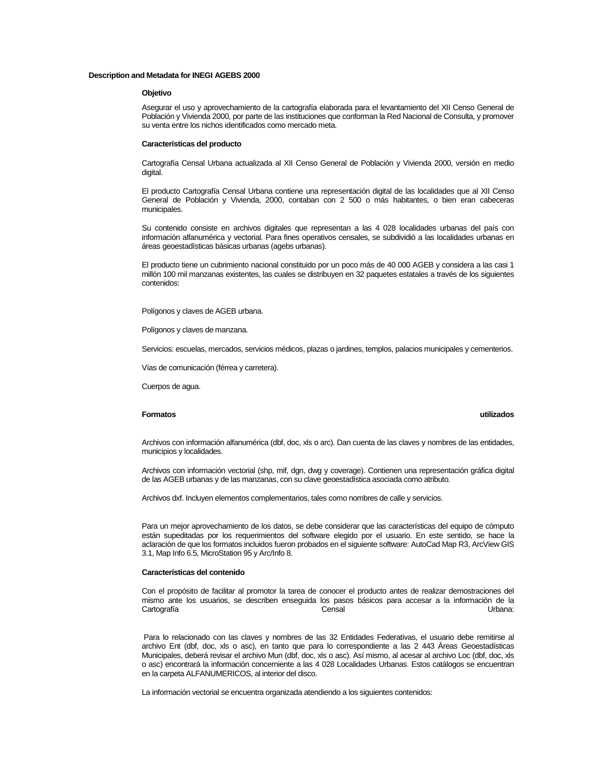#### **Description and Metadata for INEGI AGEBS 2000**

#### **Objetivo**

Asegurar el uso y aprovechamiento de la cartografía elaborada para el levantamiento del XII Censo General de Población y Vivienda 2000, por parte de las instituciones que conforman la Red Nacional de Consulta, y promover su venta entre los nichos identificados como mercado meta.

#### **Características del producto**

Cartografía Censal Urbana actualizada al XII Censo General de Población y Vivienda 2000, versión en medio digital.

El producto Cartografía Censal Urbana contiene una representación digital de las localidades que al XII Censo General de Población y Vivienda, 2000, contaban con 2 500 o más habitantes, o bien eran cabeceras municipales.

Su contenido consiste en archivos digitales que representan a las 4 028 localidades urbanas del país con información alfanumérica y vectorial. Para fines operativos censales, se subdividió a las localidades urbanas en áreas geoestadísticas básicas urbanas (agebs urbanas).

El producto tiene un cubrimiento nacional constituido por un poco más de 40 000 AGEB y considera a las casi 1 millón 100 mil manzanas existentes, las cuales se distribuyen en 32 paquetes estatales a través de los siguientes contenidos:

Polígonos y claves de AGEB urbana.

Polígonos y claves de manzana.

Servicios: escuelas, mercados, servicios médicos, plazas o jardines, templos, palacios municipales y cementerios.

Vías de comunicación (férrea y carretera).

Cuerpos de agua.

#### **Formatos utilizados**

Archivos con información alfanumérica (dbf, doc, xls o arc). Dan cuenta de las claves y nombres de las entidades, municipios y localidades.

Archivos con información vectorial (shp, mif, dgn, dwg y coverage). Contienen una representación gráfica digital de las AGEB urbanas y de las manzanas, con su clave geoestadística asociada como atributo.

Archivos dxf. Incluyen elementos complementarios, tales como nombres de calle y servicios.

Para un mejor aprovechamiento de los datos, se debe considerar que las características del equipo de cómputo están supeditadas por los requerimientos del software elegido por el usuario. En este sentido, se hace la aclaración de que los formatos incluidos fueron probados en el siguiente software: AutoCad Map R3, ArcView GIS 3.1, Map Info 6.5, MicroStation 95 y Arc/Info 8.

#### **Características del contenido**

Con el propósito de facilitar al promotor la tarea de conocer el producto antes de realizar demostraciones del mismo ante los usuarios, se describen enseguida los pasos básicos para accesar a la información de la Cartografía Censal Urbana:

 Para lo relacionado con las claves y nombres de las 32 Entidades Federativas, el usuario debe remitirse al archivo Ent (dbf, doc, xls o asc), en tanto que para lo correspondiente a las 2 443 Áreas Geoestadísticas Municipales, deberá revisar el archivo Mun (dbf, doc, xls o asc). Así mismo, al acesar al archivo Loc (dbf, doc, xls o asc) encontrará la información concerniente a las 4 028 Localidades Urbanas. Estos catálogos se encuentran en la carpeta ALFANUMERICOS, al interior del disco.

La información vectorial se encuentra organizada atendiendo a los siguientes contenidos: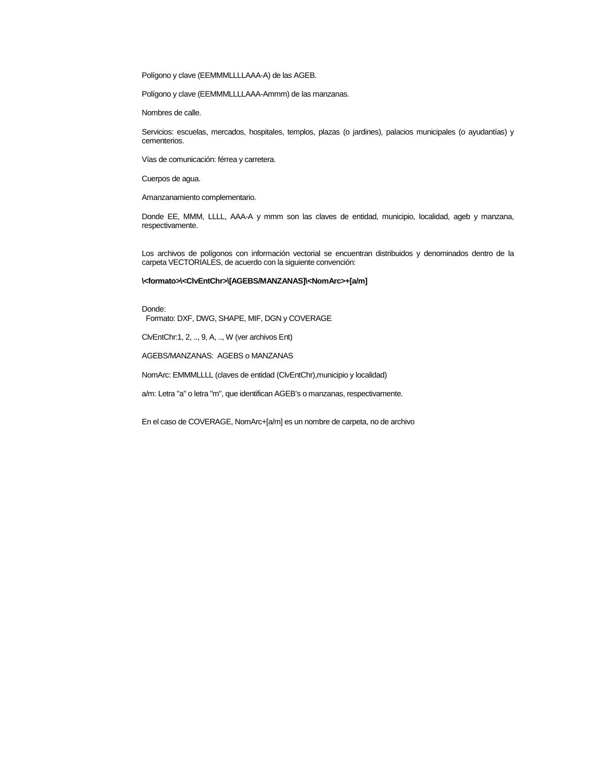Polígono y clave (EEMMMLLLLAAA-A) de las AGEB.

Polígono y clave (EEMMMLLLLAAA-Ammm) de las manzanas.

Nombres de calle.

Servicios: escuelas, mercados, hospitales, templos, plazas (o jardines), palacios municipales (o ayudantías) y cementerios.

Vías de comunicación: férrea y carretera.

Cuerpos de agua.

Amanzanamiento complementario.

Donde EE, MMM, LLLL, AAA-A y mmm son las claves de entidad, municipio, localidad, ageb y manzana, respectivamente.

Los archivos de polígonos con información vectorial se encuentran distribuidos y denominados dentro de la carpeta VECTORIALES, de acuerdo con la siguiente convención:

#### **\<formato>\<ClvEntChr>\[AGEBS/MANZANAS]\<NomArc>+[a/m]**

Donde: Formato: DXF, DWG, SHAPE, MIF, DGN y COVERAGE

ClvEntChr:1, 2, .., 9, A, .., W (ver archivos Ent)

AGEBS/MANZANAS: AGEBS o MANZANAS

NomArc: EMMMLLLL (claves de entidad (ClvEntChr),municipio y localidad)

a/m: Letra "a" o letra "m", que identifican AGEB's o manzanas, respectivamente.

En el caso de COVERAGE, NomArc+[a/m] es un nombre de carpeta, no de archivo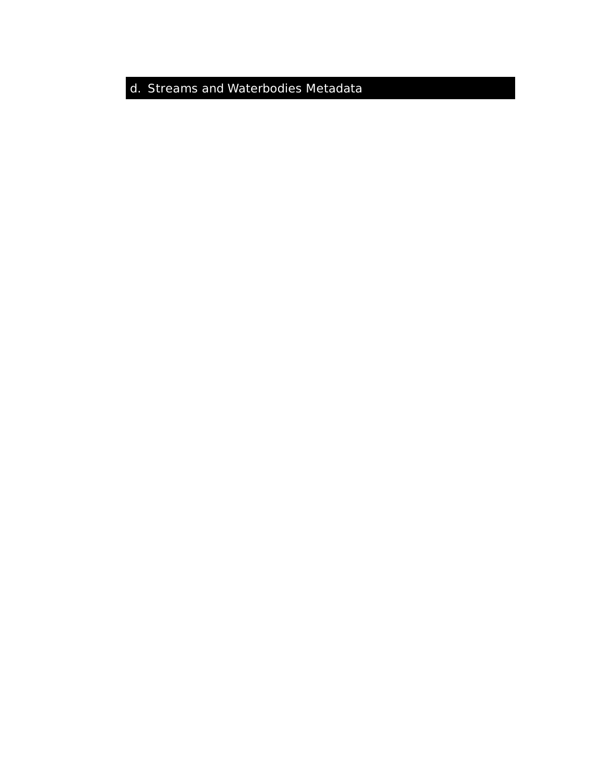d. Streams and Waterbodies Metadata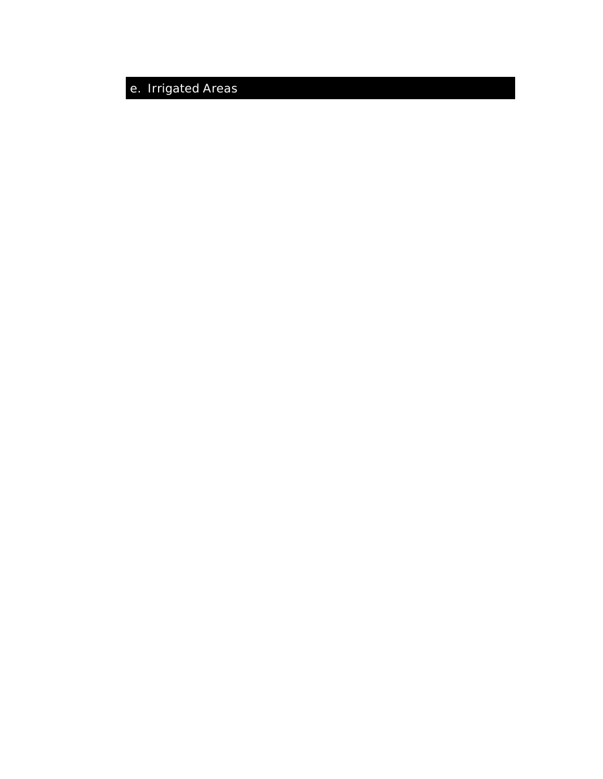e. Irrigated Areas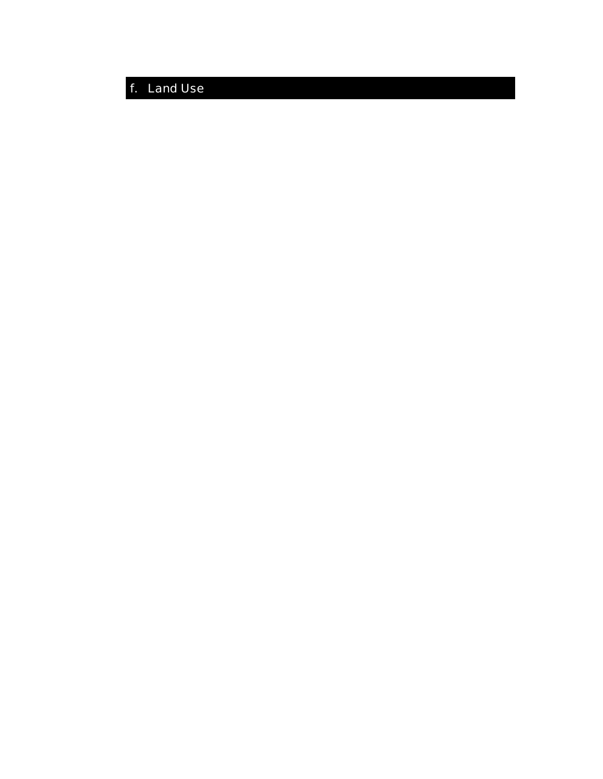## f. Land Use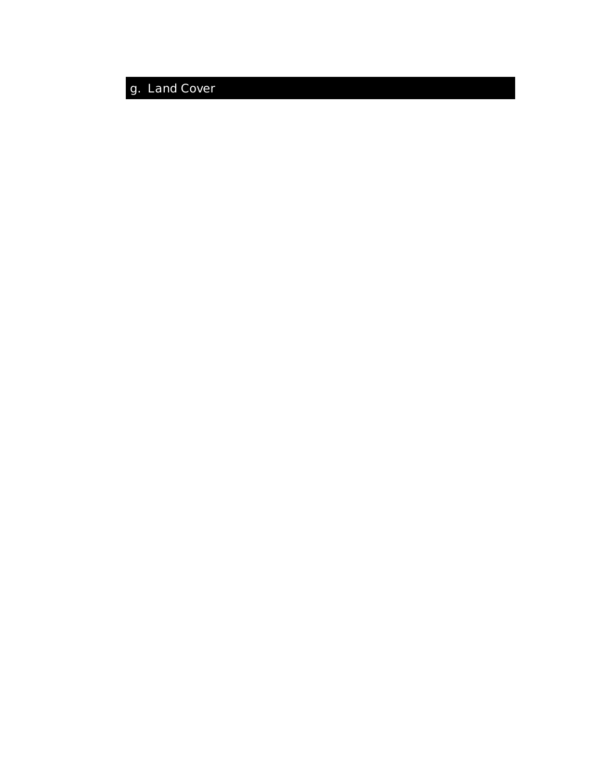g. Land Cover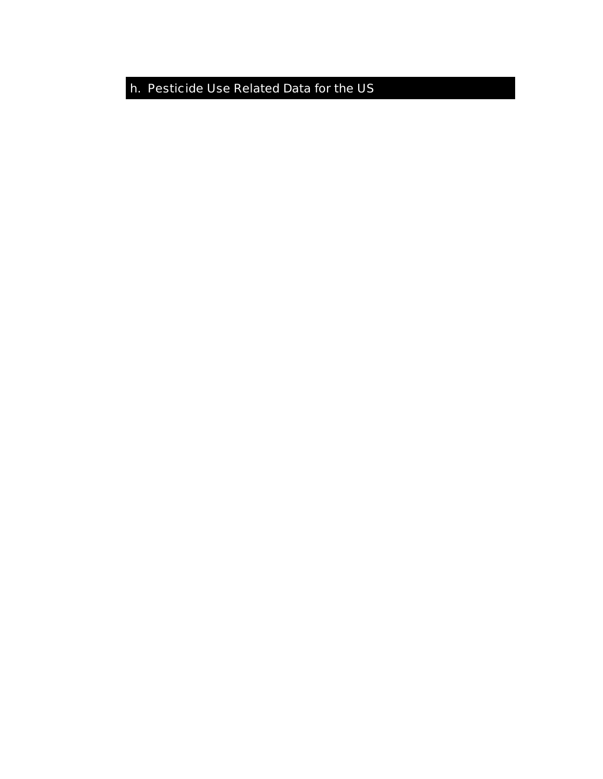h. Pesticide Use Related Data for the US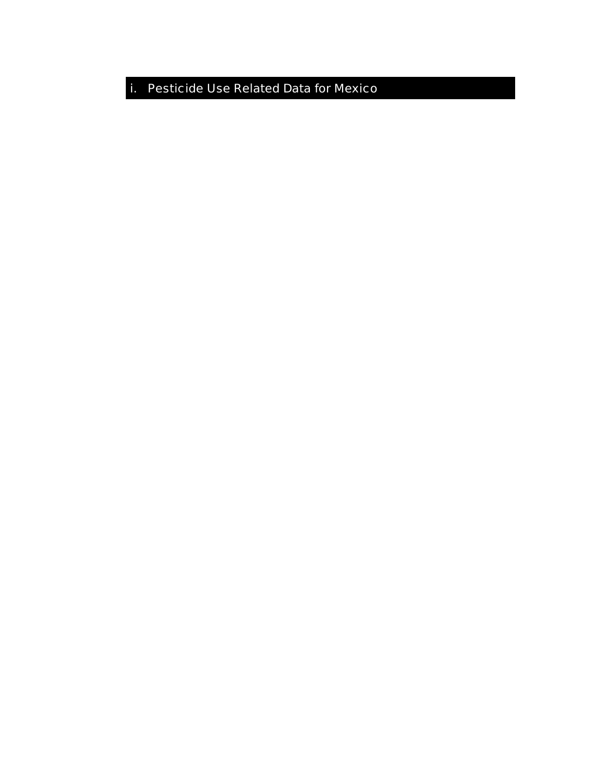i. Pesticide Use Related Data for Mexico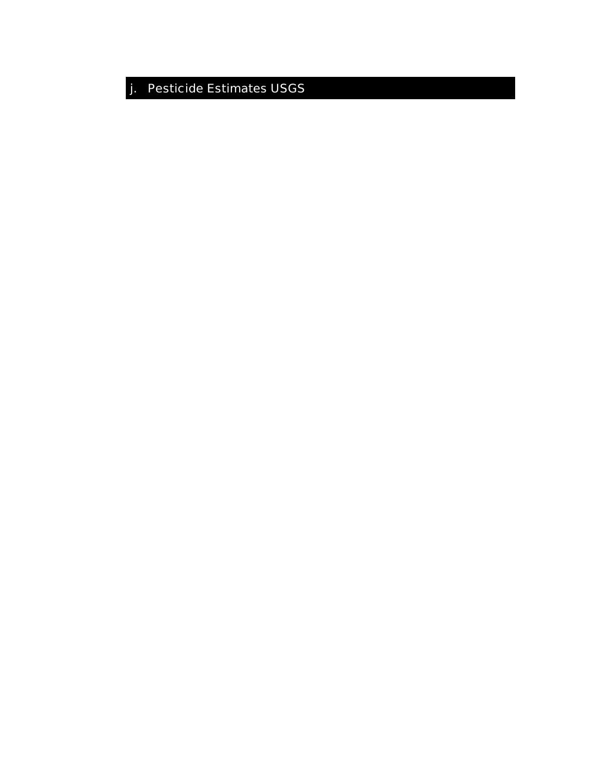j. Pesticide Estimates USGS